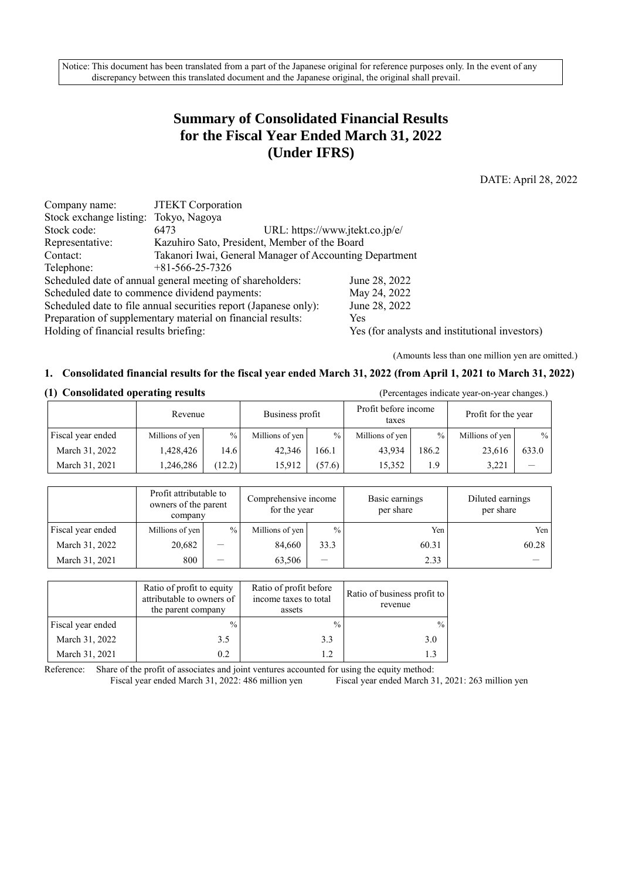Notice: This document has been translated from a part of the Japanese original for reference purposes only. In the event of any discrepancy between this translated document and the Japanese original, the original shall prevail.

# **Summary of Consolidated Financial Results for the Fiscal Year Ended March 31, 2022 (Under IFRS)**

DATE: April 28, 2022

| Company name:                                                                            | <b>JTEKT</b> Corporation                                         |                                 |  |  |
|------------------------------------------------------------------------------------------|------------------------------------------------------------------|---------------------------------|--|--|
| Stock exchange listing: Tokyo, Nagoya                                                    |                                                                  |                                 |  |  |
| Stock code:                                                                              | 6473                                                             | URL: https://www.jtekt.co.jp/e/ |  |  |
| Representative:                                                                          | Kazuhiro Sato, President, Member of the Board                    |                                 |  |  |
| Contact:                                                                                 | Takanori Iwai, General Manager of Accounting Department          |                                 |  |  |
| Telephone:                                                                               | $+81-566-25-7326$                                                |                                 |  |  |
|                                                                                          | Scheduled date of annual general meeting of shareholders:        | June 28, 2022                   |  |  |
|                                                                                          | Scheduled date to commence dividend payments:                    | May 24, 2022                    |  |  |
|                                                                                          | Scheduled date to file annual securities report (Japanese only): | June 28, 2022                   |  |  |
| Preparation of supplementary material on financial results:                              | <b>Yes</b>                                                       |                                 |  |  |
| Holding of financial results briefing:<br>Yes (for analysts and institutional investors) |                                                                  |                                 |  |  |

(Amounts less than one million yen are omitted.)

#### **1. Consolidated financial results for the fiscal year ended March 31, 2022 (from April 1, 2021 to March 31, 2022)**

|                   | Revenue         |               | Business profit |               | Profit before income<br>taxes |       | Profit for the year |       |
|-------------------|-----------------|---------------|-----------------|---------------|-------------------------------|-------|---------------------|-------|
| Fiscal year ended | Millions of yen | $\frac{0}{0}$ | Millions of yen | $\frac{0}{0}$ | Millions of yen               | $\%$  | Millions of yen     | $\%$  |
| March 31, 2022    | 1,428,426       | 14.6          | 42,346          | 166.1         | 43.934                        | 186.2 | 23,616              | 633.0 |
| March 31, 2021    | 1,246,286       | (12.2)        | 15.912          | (57.6)        | 15.352                        | 1.9   | 3.221               |       |

#### **(1) Consolidated operating results** (Percentages indicate year-on-year changes.)

Profit attributable to owners of the parent company Comprehensive income for the year Basic earnings per share Diluted earnings per share Fiscal year ended Millions of yen % Millions of yen % Yen Yen Yen Yen March 31, 2022  $20.682$  - 84,660 33.3 60.31 60.28 March 31, 2021  $\begin{array}{|c|c|c|c|c|c|c|c|c|} \hline 800 & - & 63,506 & - & 2.33 \hline \end{array}$ 

|                   | Ratio of profit to equity<br>attributable to owners of<br>the parent company | Ratio of profit before<br>income taxes to total<br>assets | Ratio of business profit to<br>revenue |
|-------------------|------------------------------------------------------------------------------|-----------------------------------------------------------|----------------------------------------|
| Fiscal year ended | $\frac{0}{0}$                                                                | $\frac{0}{0}$                                             | $\frac{0}{0}$                          |
| March 31, 2022    | 3.5                                                                          | 3.3                                                       | 3.0                                    |
| March 31, 2021    | 0.2                                                                          | 1.2.                                                      |                                        |

Reference: Share of the profit of associates and joint ventures accounted for using the equity method: Fiscal year ended March 31, 2022: 486 million yen Fiscal year ended March 31, 2021: 263 million yen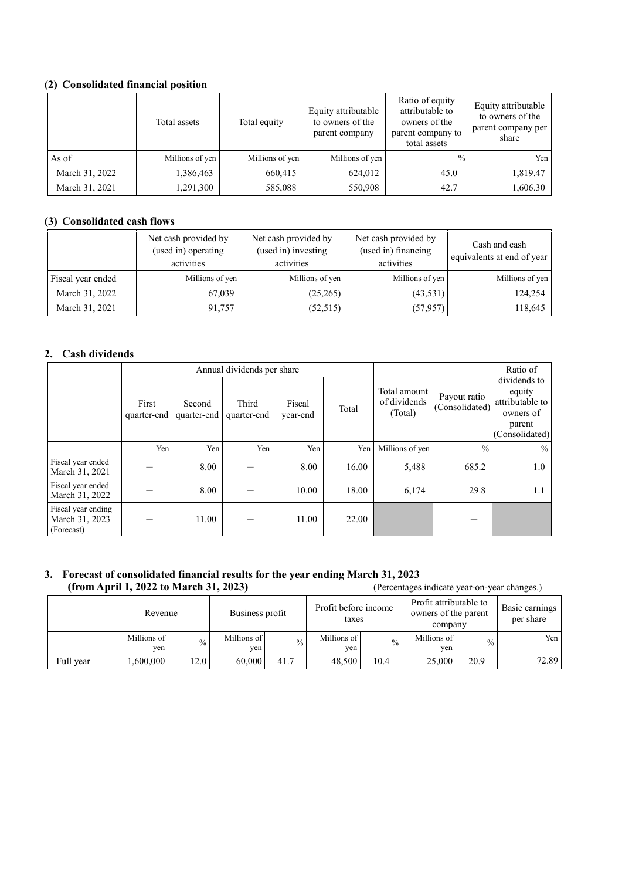### **(2) Consolidated financial position**

|                | Total assets    | Total equity    | Equity attributable<br>to owners of the<br>parent company | Ratio of equity<br>attributable to<br>owners of the<br>parent company to<br>total assets | Equity attributable<br>to owners of the<br>parent company per<br>share |
|----------------|-----------------|-----------------|-----------------------------------------------------------|------------------------------------------------------------------------------------------|------------------------------------------------------------------------|
| As of          | Millions of yen | Millions of yen | Millions of yen                                           | $\frac{0}{0}$                                                                            | Yen                                                                    |
| March 31, 2022 | 1,386,463       | 660,415         | 624,012                                                   | 45.0                                                                                     | 1,819.47                                                               |
| March 31, 2021 | 1,291,300       | 585,088         | 550,908                                                   | 42.7                                                                                     | 1,606.30                                                               |

### **(3) Consolidated cash flows**

|                   | Net cash provided by<br>(used in) operating<br>activities | Net cash provided by<br>(used in) investing<br>activities | Net cash provided by<br>(used in) financing<br>activities | Cash and cash<br>equivalents at end of year |
|-------------------|-----------------------------------------------------------|-----------------------------------------------------------|-----------------------------------------------------------|---------------------------------------------|
| Fiscal year ended | Millions of yen                                           | Millions of yen                                           | Millions of yen                                           | Millions of yen                             |
| March 31, 2022    | 67,039                                                    | (25,265)                                                  | (43,531)                                                  | 124,254                                     |
| March 31, 2021    | 91,757                                                    | (52,515)                                                  | (57, 957)                                                 | 118,645                                     |

### **2. Cash dividends**

|                                                    |                      | Annual dividends per share |                      |                    |       |                                         |                                | Ratio of                                                                           |
|----------------------------------------------------|----------------------|----------------------------|----------------------|--------------------|-------|-----------------------------------------|--------------------------------|------------------------------------------------------------------------------------|
|                                                    | First<br>quarter-end | Second<br>quarter-end      | Third<br>quarter-end | Fiscal<br>year-end | Total | Total amount<br>of dividends<br>(Total) | Payout ratio<br>(Consolidated) | dividends to<br>equity<br>attributable to<br>owners of<br>parent<br>(Consolidated) |
|                                                    | Yen                  | Yen                        | Yen                  | Yen                | Yen   | Millions of yen                         | $\frac{0}{0}$                  | $\frac{0}{0}$                                                                      |
| Fiscal year ended<br>March 31, 2021                |                      | 8.00                       |                      | 8.00               | 16.00 | 5,488                                   | 685.2                          | 1.0                                                                                |
| Fiscal year ended<br>March 31, 2022                |                      | 8.00                       |                      | 10.00              | 18.00 | 6,174                                   | 29.8                           | 1.1                                                                                |
| Fiscal year ending<br>March 31, 2023<br>(Forecast) |                      | 11.00                      |                      | 11.00              | 22.00 |                                         |                                |                                                                                    |

#### **3. Forecast of consolidated financial results for the year ending March 31, 2023 (from April 1, 2022 to March 31, 2023)** (Percentages indicate year-on-year changes.)

|           | Revenue            |               | Business profit    |               | Profit before income<br>taxes |             | Profit attributable to<br>owners of the parent<br>company |               | Basic earnings<br>per share |
|-----------|--------------------|---------------|--------------------|---------------|-------------------------------|-------------|-----------------------------------------------------------|---------------|-----------------------------|
|           | Millions of<br>yen | $\frac{0}{0}$ | Millions of<br>yen | $\frac{0}{0}$ | Millions of<br>yen.           | $^{0}/_{0}$ | Millions of<br>yen.                                       | $\frac{0}{0}$ | Yen                         |
| Full year | .600.000           | 12.01         | 60,000             | 41.7          | 48,500                        | 10.4        | 25,000                                                    | 20.9          | 72.89                       |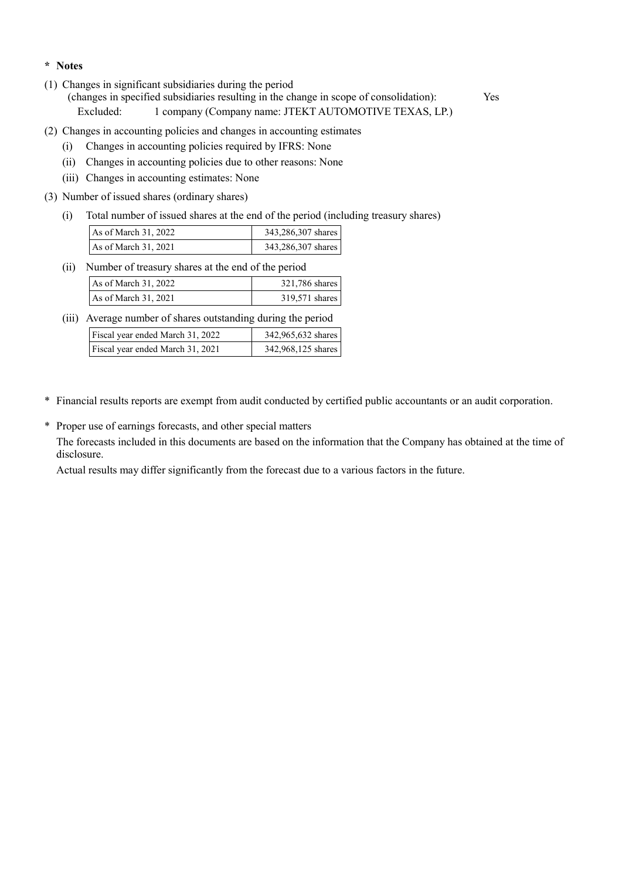#### **\* Notes**

(1) Changes in significant subsidiaries during the period

(changes in specified subsidiaries resulting in the change in scope of consolidation): Yes Excluded: 1 company (Company name: JTEKT AUTOMOTIVE TEXAS, LP.)

- (2) Changes in accounting policies and changes in accounting estimates
	- (i) Changes in accounting policies required by IFRS: None
	- (ii) Changes in accounting policies due to other reasons: None
	- (iii) Changes in accounting estimates: None
- (3) Number of issued shares (ordinary shares)
	- (i) Total number of issued shares at the end of the period (including treasury shares)

| As of March 31, 2022 | 343,286,307 shares |
|----------------------|--------------------|
| As of March 31, 2021 | 343,286,307 shares |

(ii) Number of treasury shares at the end of the period

| As of March 31, 2022 | 321,786 shares |
|----------------------|----------------|
| As of March 31, 2021 | 319.571 shares |

(iii) Average number of shares outstanding during the period

| Fiscal year ended March 31, 2022 | 342,965,632 shares |
|----------------------------------|--------------------|
| Fiscal year ended March 31, 2021 | 342,968,125 shares |

- \* Financial results reports are exempt from audit conducted by certified public accountants or an audit corporation.
- \* Proper use of earnings forecasts, and other special matters

The forecasts included in this documents are based on the information that the Company has obtained at the time of disclosure.

Actual results may differ significantly from the forecast due to a various factors in the future.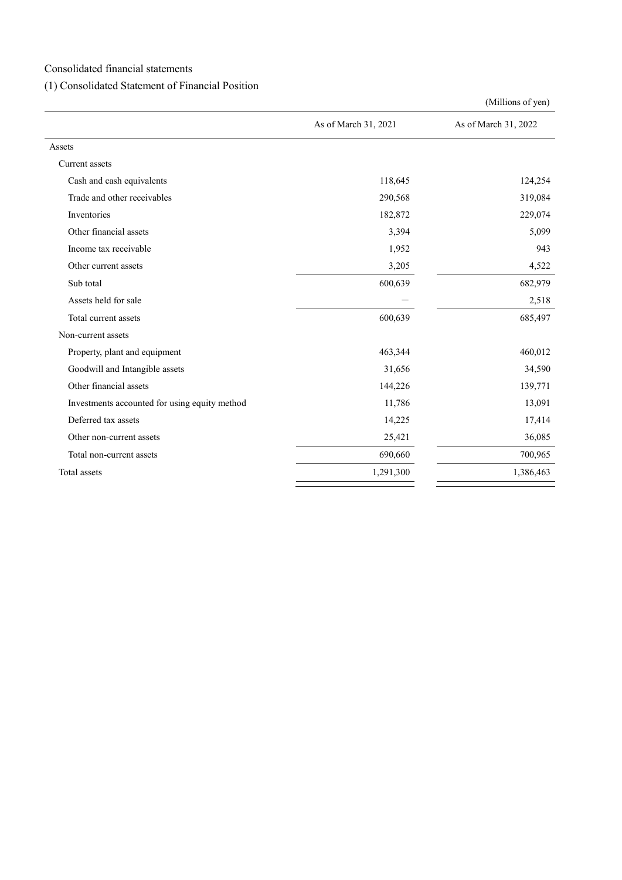Consolidated financial statements

### (1) Consolidated Statement of Financial Position

|                                               |                      | (Millions of yen)    |
|-----------------------------------------------|----------------------|----------------------|
|                                               | As of March 31, 2021 | As of March 31, 2022 |
| Assets                                        |                      |                      |
| Current assets                                |                      |                      |
| Cash and cash equivalents                     | 118,645              | 124,254              |
| Trade and other receivables                   | 290,568              | 319,084              |
| Inventories                                   | 182,872              | 229,074              |
| Other financial assets                        | 3,394                | 5,099                |
| Income tax receivable                         | 1,952                | 943                  |
| Other current assets                          | 3,205                | 4,522                |
| Sub total                                     | 600,639              | 682,979              |
| Assets held for sale                          |                      | 2,518                |
| Total current assets                          | 600,639              | 685,497              |
| Non-current assets                            |                      |                      |
| Property, plant and equipment                 | 463,344              | 460,012              |
| Goodwill and Intangible assets                | 31,656               | 34,590               |
| Other financial assets                        | 144,226              | 139,771              |
| Investments accounted for using equity method | 11,786               | 13,091               |
| Deferred tax assets                           | 14,225               | 17,414               |
| Other non-current assets                      | 25,421               | 36,085               |
| Total non-current assets                      | 690,660              | 700,965              |
| Total assets                                  | 1,291,300            | 1,386,463            |
|                                               |                      |                      |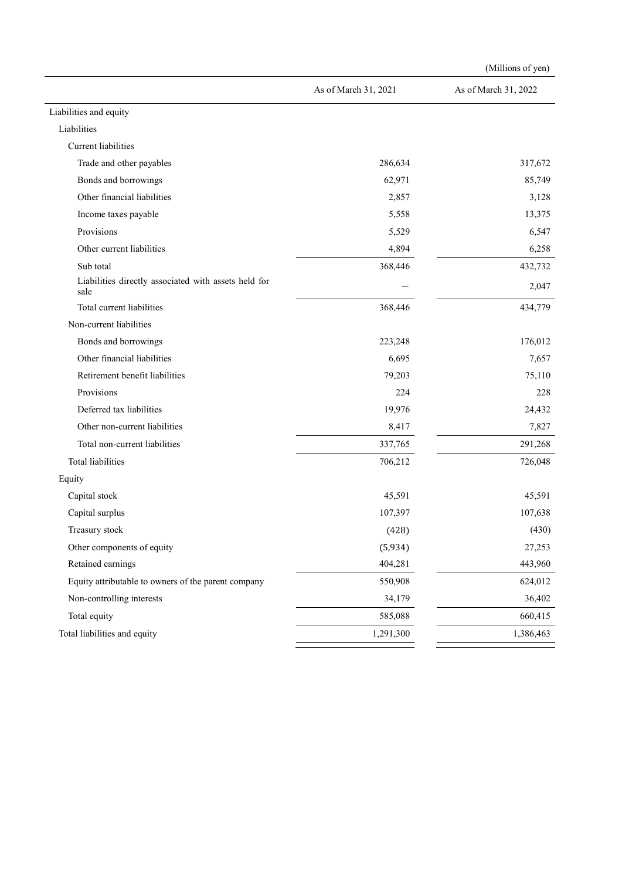|                                                              |                      | (Millions of yen)    |
|--------------------------------------------------------------|----------------------|----------------------|
|                                                              | As of March 31, 2021 | As of March 31, 2022 |
| Liabilities and equity                                       |                      |                      |
| Liabilities                                                  |                      |                      |
| Current liabilities                                          |                      |                      |
| Trade and other payables                                     | 286,634              | 317,672              |
| Bonds and borrowings                                         | 62,971               | 85,749               |
| Other financial liabilities                                  | 2,857                | 3,128                |
| Income taxes payable                                         | 5,558                | 13,375               |
| Provisions                                                   | 5,529                | 6,547                |
| Other current liabilities                                    | 4,894                | 6,258                |
| Sub total                                                    | 368,446              | 432,732              |
| Liabilities directly associated with assets held for<br>sale |                      | 2,047                |
| Total current liabilities                                    | 368,446              | 434,779              |
| Non-current liabilities                                      |                      |                      |
| Bonds and borrowings                                         | 223,248              | 176,012              |
| Other financial liabilities                                  | 6,695                | 7,657                |
| Retirement benefit liabilities                               | 79,203               | 75,110               |
| Provisions                                                   | 224                  | 228                  |
| Deferred tax liabilities                                     | 19,976               | 24,432               |
| Other non-current liabilities                                | 8,417                | 7,827                |
| Total non-current liabilities                                | 337,765              | 291,268              |
| <b>Total liabilities</b>                                     | 706,212              | 726,048              |
| Equity                                                       |                      |                      |
| Capital stock                                                | 45,591               | 45,591               |
| Capital surplus                                              | 107,397              | 107,638              |
| Treasury stock                                               | (428)                | (430)                |
| Other components of equity                                   | (5,934)              | 27,253               |
| Retained earnings                                            | 404,281              | 443,960              |
| Equity attributable to owners of the parent company          | 550,908              | 624,012              |
| Non-controlling interests                                    | 34,179               | 36,402               |
| Total equity                                                 | 585,088              | 660,415              |
| Total liabilities and equity                                 | 1,291,300            | 1,386,463            |
|                                                              |                      |                      |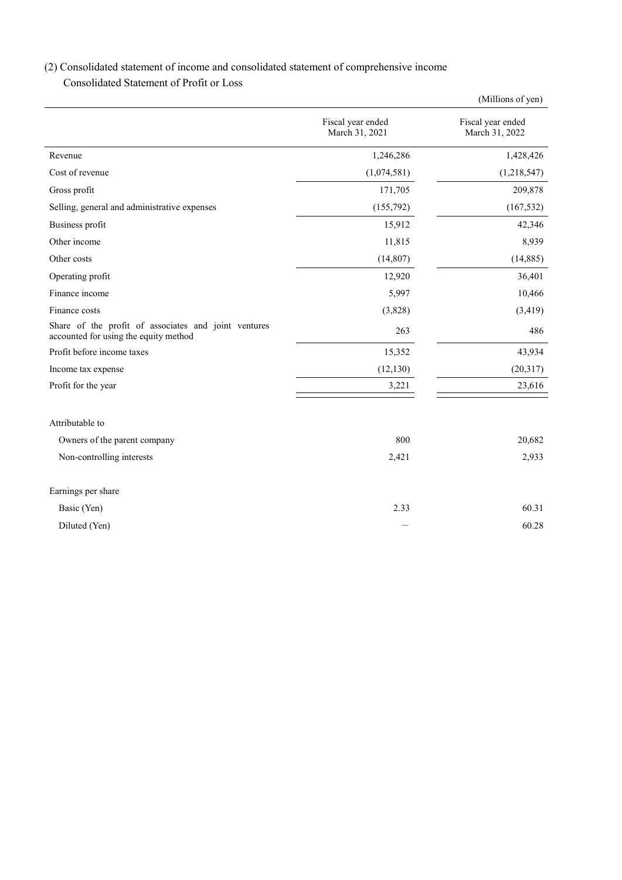# (2) Consolidated statement of income and consolidated statement of comprehensive income

Consolidated Statement of Profit or Loss

|                                                                                               |                                     | (Millions of yen)                   |
|-----------------------------------------------------------------------------------------------|-------------------------------------|-------------------------------------|
|                                                                                               | Fiscal year ended<br>March 31, 2021 | Fiscal year ended<br>March 31, 2022 |
| Revenue                                                                                       | 1,246,286                           | 1,428,426                           |
| Cost of revenue                                                                               | (1,074,581)                         | (1,218,547)                         |
| Gross profit                                                                                  | 171,705                             | 209,878                             |
| Selling, general and administrative expenses                                                  | (155,792)                           | (167, 532)                          |
| Business profit                                                                               | 15,912                              | 42,346                              |
| Other income                                                                                  | 11,815                              | 8,939                               |
| Other costs                                                                                   | (14,807)                            | (14, 885)                           |
| Operating profit                                                                              | 12,920                              | 36,401                              |
| Finance income                                                                                | 5,997                               | 10,466                              |
| Finance costs                                                                                 | (3,828)                             | (3, 419)                            |
| Share of the profit of associates and joint ventures<br>accounted for using the equity method | 263                                 | 486                                 |
| Profit before income taxes                                                                    | 15,352                              | 43,934                              |
| Income tax expense                                                                            | (12, 130)                           | (20,317)                            |
| Profit for the year                                                                           | 3,221                               | 23,616                              |
| Attributable to                                                                               |                                     |                                     |
| Owners of the parent company                                                                  | 800                                 | 20,682                              |
| Non-controlling interests                                                                     | 2,421                               | 2,933                               |
| Earnings per share                                                                            |                                     |                                     |
| Basic (Yen)                                                                                   | 2.33                                | 60.31                               |
| Diluted (Yen)                                                                                 |                                     | 60.28                               |
|                                                                                               |                                     |                                     |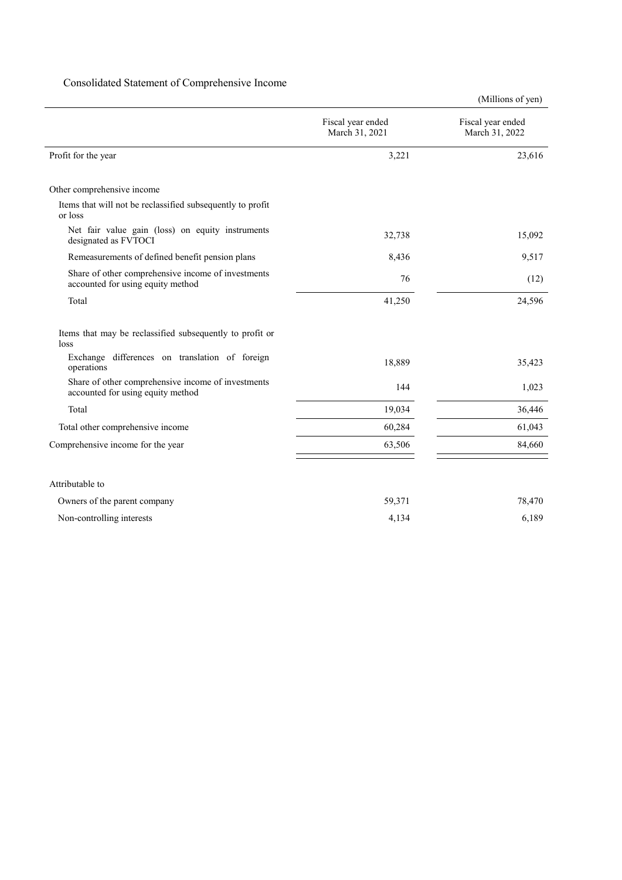### Consolidated Statement of Comprehensive Income

(Millions of yen)

|                                                                                         | Fiscal year ended<br>March 31, 2021 | Fiscal year ended<br>March 31, 2022 |
|-----------------------------------------------------------------------------------------|-------------------------------------|-------------------------------------|
| Profit for the year                                                                     | 3,221                               | 23,616                              |
| Other comprehensive income                                                              |                                     |                                     |
| Items that will not be reclassified subsequently to profit<br>or loss                   |                                     |                                     |
| Net fair value gain (loss) on equity instruments<br>designated as FVTOCI                | 32,738                              | 15,092                              |
| Remeasurements of defined benefit pension plans                                         | 8,436                               | 9,517                               |
| Share of other comprehensive income of investments<br>accounted for using equity method | 76                                  | (12)                                |
| Total                                                                                   | 41,250                              | 24,596                              |
| Items that may be reclassified subsequently to profit or<br>loss                        |                                     |                                     |
| Exchange differences on translation of foreign<br>operations                            | 18,889                              | 35,423                              |
| Share of other comprehensive income of investments<br>accounted for using equity method | 144                                 | 1,023                               |
| Total                                                                                   | 19,034                              | 36,446                              |
| Total other comprehensive income                                                        | 60,284                              | 61,043                              |
| Comprehensive income for the year                                                       | 63,506                              | 84,660                              |
|                                                                                         |                                     |                                     |
| Attributable to                                                                         |                                     |                                     |
| Owners of the parent company                                                            | 59,371                              | 78,470                              |
| Non-controlling interests                                                               | 4,134                               | 6,189                               |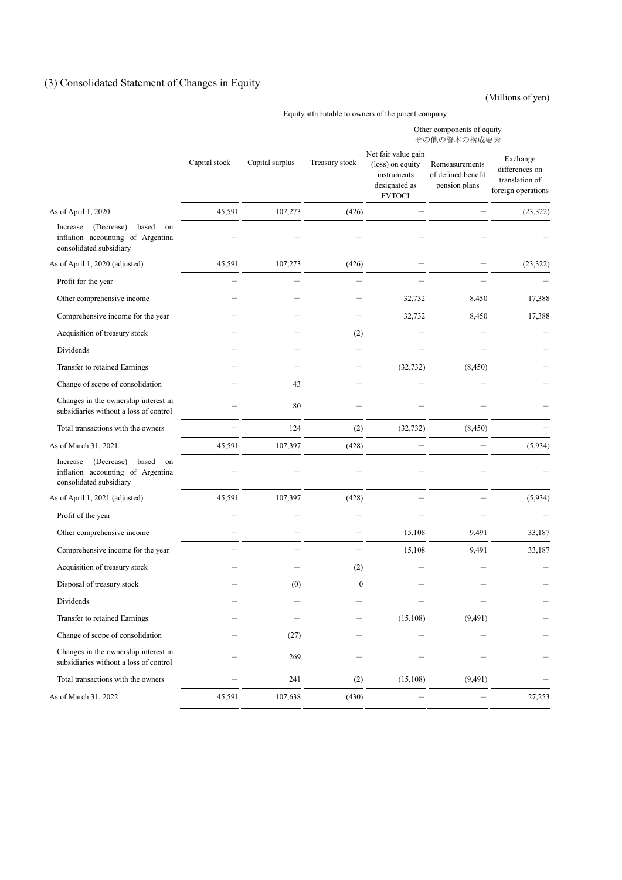# (3) Consolidated Statement of Changes in Equity

(Millions of yen)

|                                                                                                       | Equity attributable to owners of the parent company |                 |                  |                                                                                          |                                                       |                                                                    |
|-------------------------------------------------------------------------------------------------------|-----------------------------------------------------|-----------------|------------------|------------------------------------------------------------------------------------------|-------------------------------------------------------|--------------------------------------------------------------------|
|                                                                                                       |                                                     |                 |                  | Other components of equity<br>その他の資本の構成要素                                                |                                                       |                                                                    |
|                                                                                                       | Capital stock                                       | Capital surplus | Treasury stock   | Net fair value gain<br>(loss) on equity<br>instruments<br>designated as<br><b>FVTOCI</b> | Remeasurements<br>of defined benefit<br>pension plans | Exchange<br>differences on<br>translation of<br>foreign operations |
| As of April 1, 2020                                                                                   | 45,591                                              | 107,273         | (426)            |                                                                                          |                                                       | (23, 322)                                                          |
| (Decrease)<br>based<br>on<br>Increase<br>inflation accounting of Argentina<br>consolidated subsidiary |                                                     |                 |                  |                                                                                          |                                                       |                                                                    |
| As of April 1, 2020 (adjusted)                                                                        | 45,591                                              | 107,273         | (426)            |                                                                                          |                                                       | (23, 322)                                                          |
| Profit for the year                                                                                   |                                                     |                 |                  |                                                                                          |                                                       |                                                                    |
| Other comprehensive income                                                                            |                                                     |                 |                  | 32,732                                                                                   | 8,450                                                 | 17,388                                                             |
| Comprehensive income for the year                                                                     |                                                     |                 |                  | 32,732                                                                                   | 8,450                                                 | 17,388                                                             |
| Acquisition of treasury stock                                                                         |                                                     |                 | (2)              |                                                                                          |                                                       |                                                                    |
| Dividends                                                                                             |                                                     |                 |                  |                                                                                          |                                                       |                                                                    |
| Transfer to retained Earnings                                                                         |                                                     |                 |                  | (32, 732)                                                                                | (8,450)                                               |                                                                    |
| Change of scope of consolidation                                                                      |                                                     | 43              |                  |                                                                                          |                                                       |                                                                    |
| Changes in the ownership interest in<br>subsidiaries without a loss of control                        |                                                     | 80              |                  |                                                                                          |                                                       |                                                                    |
| Total transactions with the owners                                                                    |                                                     | 124             | (2)              | (32, 732)                                                                                | (8, 450)                                              |                                                                    |
| As of March 31, 2021                                                                                  | 45,591                                              | 107,397         | (428)            |                                                                                          |                                                       | (5,934)                                                            |
| (Decrease)<br>based<br>Increase<br>on<br>inflation accounting of Argentina<br>consolidated subsidiary |                                                     |                 |                  |                                                                                          |                                                       |                                                                    |
| As of April 1, 2021 (adjusted)                                                                        | 45,591                                              | 107,397         | (428)            |                                                                                          |                                                       | (5,934)                                                            |
| Profit of the year                                                                                    |                                                     |                 |                  |                                                                                          |                                                       |                                                                    |
| Other comprehensive income                                                                            |                                                     |                 |                  | 15,108                                                                                   | 9,491                                                 | 33,187                                                             |
| Comprehensive income for the year                                                                     |                                                     |                 |                  | 15,108                                                                                   | 9,491                                                 | 33,187                                                             |
| Acquisition of treasury stock                                                                         |                                                     |                 | (2)              |                                                                                          |                                                       |                                                                    |
| Disposal of treasury stock                                                                            |                                                     | (0)             | $\boldsymbol{0}$ |                                                                                          |                                                       |                                                                    |
| Dividends                                                                                             |                                                     |                 |                  |                                                                                          |                                                       |                                                                    |
| Transfer to retained Earnings                                                                         |                                                     |                 |                  | (15, 108)                                                                                | (9,491)                                               |                                                                    |
| Change of scope of consolidation                                                                      |                                                     | (27)            |                  |                                                                                          |                                                       |                                                                    |
| Changes in the ownership interest in<br>subsidiaries without a loss of control                        |                                                     | 269             |                  |                                                                                          |                                                       |                                                                    |
| Total transactions with the owners                                                                    |                                                     | 241             | (2)              | (15, 108)                                                                                | (9, 491)                                              |                                                                    |
| As of March 31, 2022                                                                                  | 45,591                                              | 107,638         | (430)            |                                                                                          |                                                       | 27,253                                                             |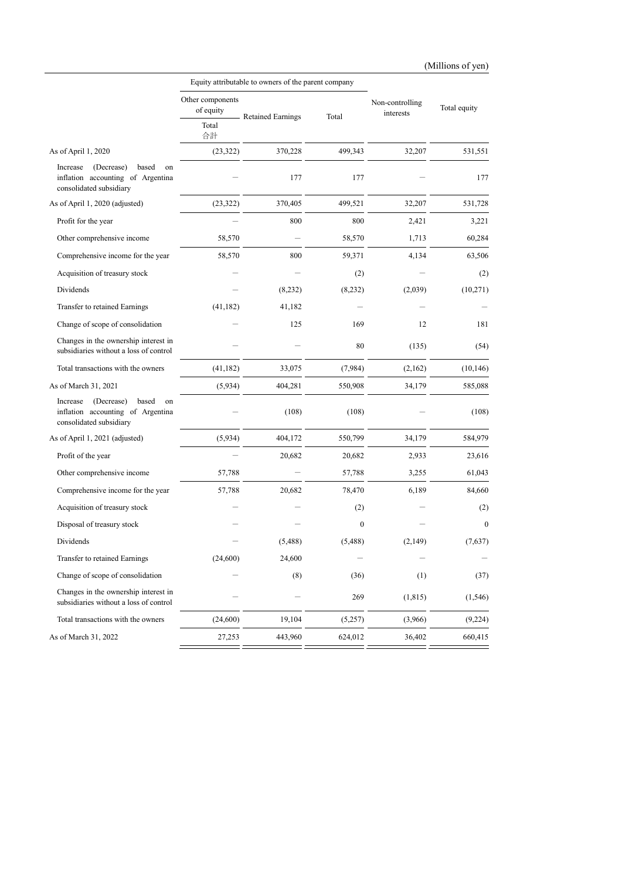|                                                                                                       |                               | Equity attributable to owners of the parent company |                  |                              |                  |  |
|-------------------------------------------------------------------------------------------------------|-------------------------------|-----------------------------------------------------|------------------|------------------------------|------------------|--|
|                                                                                                       | Other components<br>of equity | <b>Retained Earnings</b>                            | Total            | Non-controlling<br>interests | Total equity     |  |
|                                                                                                       | Total<br>合計                   |                                                     |                  |                              |                  |  |
| As of April 1, 2020                                                                                   | (23, 322)                     | 370,228                                             | 499,343          | 32,207                       | 531,551          |  |
| (Decrease)<br>based<br>Increase<br>on<br>inflation accounting of Argentina<br>consolidated subsidiary |                               | 177                                                 | 177              |                              | 177              |  |
| As of April 1, 2020 (adjusted)                                                                        | (23, 322)                     | 370,405                                             | 499,521          | 32,207                       | 531,728          |  |
| Profit for the year                                                                                   |                               | 800                                                 | 800              | 2,421                        | 3,221            |  |
| Other comprehensive income                                                                            | 58,570                        |                                                     | 58,570           | 1,713                        | 60,284           |  |
| Comprehensive income for the year                                                                     | 58,570                        | 800                                                 | 59,371           | 4,134                        | 63,506           |  |
| Acquisition of treasury stock                                                                         |                               |                                                     | (2)              |                              | (2)              |  |
| Dividends                                                                                             |                               | (8,232)                                             | (8,232)          | (2,039)                      | (10,271)         |  |
| Transfer to retained Earnings                                                                         | (41, 182)                     | 41,182                                              |                  |                              |                  |  |
| Change of scope of consolidation                                                                      |                               | 125                                                 | 169              | 12                           | 181              |  |
| Changes in the ownership interest in<br>subsidiaries without a loss of control                        |                               |                                                     | 80               | (135)                        | (54)             |  |
| Total transactions with the owners                                                                    | (41, 182)                     | 33,075                                              | (7,984)          | (2,162)                      | (10, 146)        |  |
| As of March 31, 2021                                                                                  | (5,934)                       | 404,281                                             | 550,908          | 34,179                       | 585,088          |  |
| Increase<br>(Decrease)<br>based<br>on<br>inflation accounting of Argentina<br>consolidated subsidiary |                               | (108)                                               | (108)            |                              | (108)            |  |
| As of April 1, 2021 (adjusted)                                                                        | (5,934)                       | 404,172                                             | 550,799          | 34,179                       | 584,979          |  |
| Profit of the year                                                                                    |                               | 20,682                                              | 20,682           | 2,933                        | 23,616           |  |
| Other comprehensive income                                                                            | 57,788                        |                                                     | 57,788           | 3,255                        | 61,043           |  |
| Comprehensive income for the year                                                                     | 57,788                        | 20,682                                              | 78,470           | 6,189                        | 84,660           |  |
| Acquisition of treasury stock                                                                         |                               |                                                     | (2)              |                              | (2)              |  |
| Disposal of treasury stock                                                                            |                               |                                                     | $\boldsymbol{0}$ |                              | $\boldsymbol{0}$ |  |
| Dividends                                                                                             |                               | (5,488)                                             | (5,488)          | (2,149)                      | (7,637)          |  |
| Transfer to retained Earnings                                                                         | (24,600)                      | 24,600                                              |                  |                              |                  |  |
| Change of scope of consolidation                                                                      |                               | (8)                                                 | (36)             | (1)                          | (37)             |  |
| Changes in the ownership interest in<br>subsidiaries without a loss of control                        |                               |                                                     | 269              | (1,815)                      | (1, 546)         |  |
| Total transactions with the owners                                                                    | (24,600)                      | 19,104                                              | (5,257)          | (3,966)                      | (9,224)          |  |
| As of March 31, 2022                                                                                  | 27,253                        | 443,960                                             | 624,012          | 36,402                       | 660,415          |  |
|                                                                                                       |                               |                                                     |                  |                              |                  |  |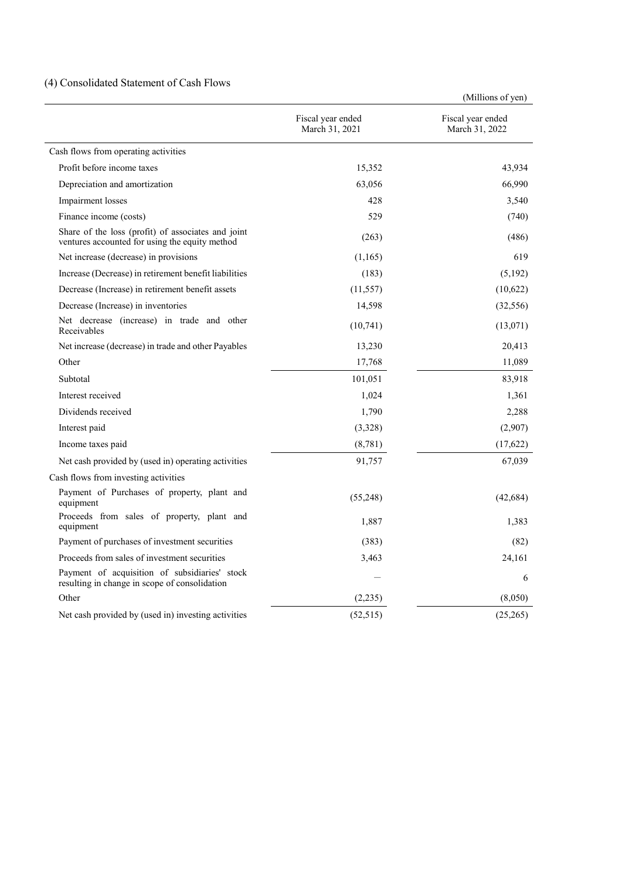### (4) Consolidated Statement of Cash Flows

(Millions of yen)

|                                                                                                      |                                     | (TATHING OF ACH)                    |
|------------------------------------------------------------------------------------------------------|-------------------------------------|-------------------------------------|
|                                                                                                      | Fiscal year ended<br>March 31, 2021 | Fiscal year ended<br>March 31, 2022 |
| Cash flows from operating activities                                                                 |                                     |                                     |
| Profit before income taxes                                                                           | 15,352                              | 43,934                              |
| Depreciation and amortization                                                                        | 63,056                              | 66,990                              |
| Impairment losses                                                                                    | 428                                 | 3,540                               |
| Finance income (costs)                                                                               | 529                                 | (740)                               |
| Share of the loss (profit) of associates and joint<br>ventures accounted for using the equity method | (263)                               | (486)                               |
| Net increase (decrease) in provisions                                                                | (1,165)                             | 619                                 |
| Increase (Decrease) in retirement benefit liabilities                                                | (183)                               | (5,192)                             |
| Decrease (Increase) in retirement benefit assets                                                     | (11, 557)                           | (10,622)                            |
| Decrease (Increase) in inventories                                                                   | 14,598                              | (32, 556)                           |
| Net decrease (increase) in trade and other<br>Receivables                                            | (10,741)                            | (13,071)                            |
| Net increase (decrease) in trade and other Payables                                                  | 13,230                              | 20,413                              |
| Other                                                                                                | 17,768                              | 11,089                              |
| Subtotal                                                                                             | 101,051                             | 83,918                              |
| Interest received                                                                                    | 1,024                               | 1,361                               |
| Dividends received                                                                                   | 1,790                               | 2,288                               |
| Interest paid                                                                                        | (3,328)                             | (2,907)                             |
| Income taxes paid                                                                                    | (8, 781)                            | (17,622)                            |
| Net cash provided by (used in) operating activities                                                  | 91,757                              | 67,039                              |
| Cash flows from investing activities                                                                 |                                     |                                     |
| Payment of Purchases of property, plant and<br>equipment                                             | (55,248)                            | (42, 684)                           |
| Proceeds from sales of property, plant and<br>equipment                                              | 1,887                               | 1,383                               |
| Payment of purchases of investment securities                                                        | (383)                               | (82)                                |
| Proceeds from sales of investment securities                                                         | 3,463                               | 24,161                              |
| Payment of acquisition of subsidiaries' stock<br>resulting in change in scope of consolidation       |                                     | 6                                   |
| Other                                                                                                | (2,235)                             | (8,050)                             |
| Net cash provided by (used in) investing activities                                                  | (52, 515)                           | (25,265)                            |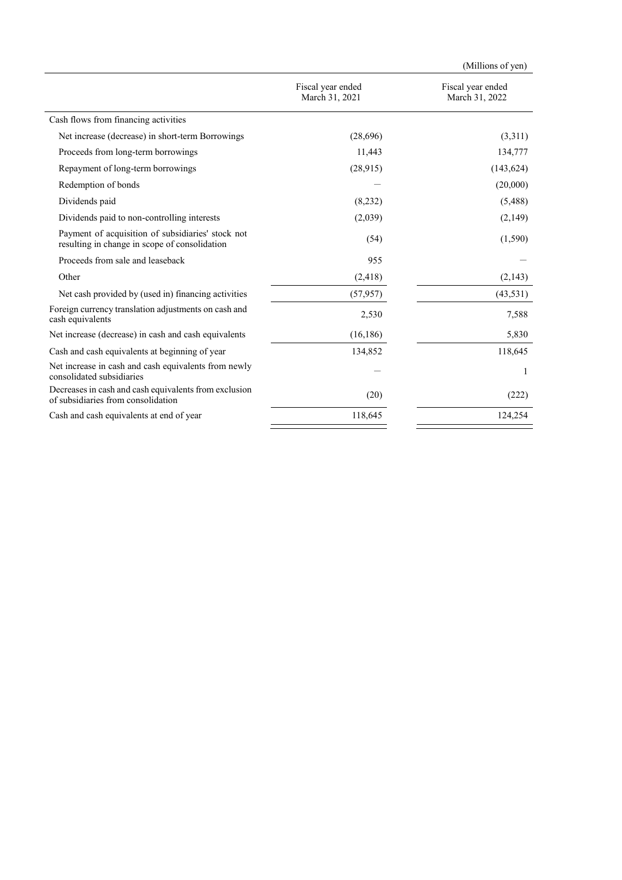|                                                                                                    |                                     | (Millions of yen)                   |
|----------------------------------------------------------------------------------------------------|-------------------------------------|-------------------------------------|
|                                                                                                    | Fiscal year ended<br>March 31, 2021 | Fiscal year ended<br>March 31, 2022 |
| Cash flows from financing activities                                                               |                                     |                                     |
| Net increase (decrease) in short-term Borrowings                                                   | (28,696)                            | (3,311)                             |
| Proceeds from long-term borrowings                                                                 | 11,443                              | 134,777                             |
| Repayment of long-term borrowings                                                                  | (28,915)                            | (143, 624)                          |
| Redemption of bonds                                                                                |                                     | (20,000)                            |
| Dividends paid                                                                                     | (8,232)                             | (5,488)                             |
| Dividends paid to non-controlling interests                                                        | (2,039)                             | (2,149)                             |
| Payment of acquisition of subsidiaries' stock not<br>resulting in change in scope of consolidation | (54)                                | (1,590)                             |
| Proceeds from sale and leaseback                                                                   | 955                                 |                                     |
| Other                                                                                              | (2, 418)                            | (2,143)                             |
| Net cash provided by (used in) financing activities                                                | (57, 957)                           | (43,531)                            |
| Foreign currency translation adjustments on cash and<br>cash equivalents                           | 2,530                               | 7,588                               |
| Net increase (decrease) in cash and cash equivalents                                               | (16, 186)                           | 5,830                               |
| Cash and cash equivalents at beginning of year                                                     | 134,852                             | 118,645                             |
| Net increase in cash and cash equivalents from newly<br>consolidated subsidiaries                  |                                     | 1                                   |
| Decreases in cash and cash equivalents from exclusion<br>of subsidiaries from consolidation        | (20)                                | (222)                               |
| Cash and cash equivalents at end of year                                                           | 118,645                             | 124,254                             |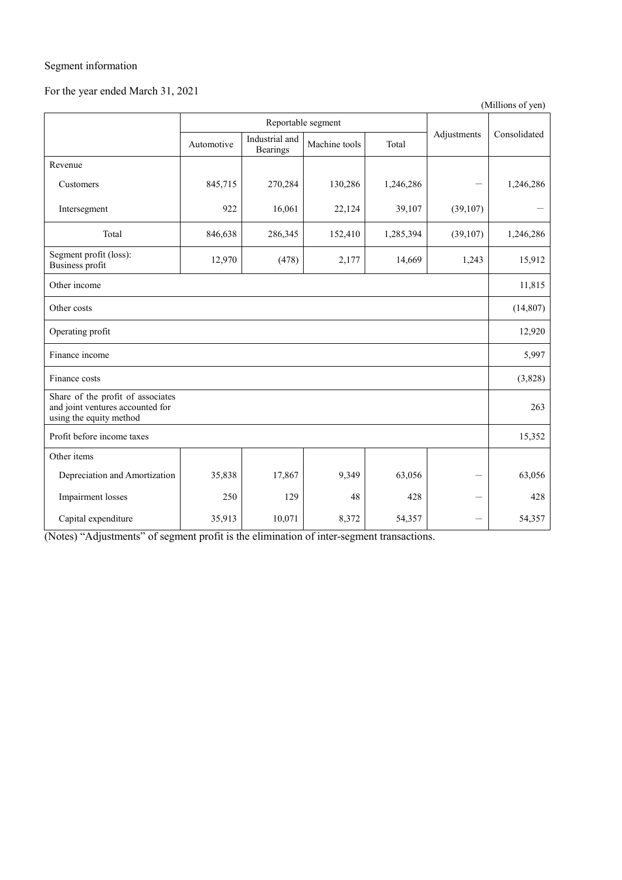### Segment information

# For the year ended March 31, 2021

(Millions of yen)

|                                                                                                  | Reportable segment |                                   |               |           |             |              |
|--------------------------------------------------------------------------------------------------|--------------------|-----------------------------------|---------------|-----------|-------------|--------------|
|                                                                                                  | Automotive         | Industrial and<br><b>Bearings</b> | Machine tools | Total     | Adjustments | Consolidated |
| Revenue                                                                                          |                    |                                   |               |           |             |              |
| Customers                                                                                        | 845,715            | 270,284                           | 130,286       | 1,246,286 |             | 1,246,286    |
| Intersegment                                                                                     | 922                | 16,061                            | 22,124        | 39,107    | (39,107)    |              |
| Total                                                                                            | 846,638            | 286,345                           | 152,410       | 1,285,394 | (39,107)    | 1,246,286    |
| Segment profit (loss):<br>Business profit                                                        | 12,970             | (478)                             | 2,177         | 14,669    | 1,243       | 15,912       |
| Other income                                                                                     |                    |                                   |               |           |             |              |
| Other costs                                                                                      |                    |                                   |               |           |             | (14, 807)    |
| Operating profit                                                                                 |                    |                                   |               |           |             | 12,920       |
| Finance income                                                                                   |                    |                                   |               |           |             | 5,997        |
| Finance costs                                                                                    |                    |                                   |               |           |             | (3,828)      |
| Share of the profit of associates<br>and joint ventures accounted for<br>using the equity method |                    |                                   |               |           | 263         |              |
| Profit before income taxes                                                                       |                    |                                   |               |           | 15,352      |              |
| Other items                                                                                      |                    |                                   |               |           |             |              |
| Depreciation and Amortization                                                                    | 35,838             | 17,867                            | 9,349         | 63,056    |             | 63,056       |
| Impairment losses                                                                                | 250                | 129                               | 48            | 428       |             | 428          |
| Capital expenditure                                                                              | 35,913             | 10,071                            | 8,372         | 54,357    |             | 54,357       |

(Notes) "Adjustments" of segment profit is the elimination of inter-segment transactions.